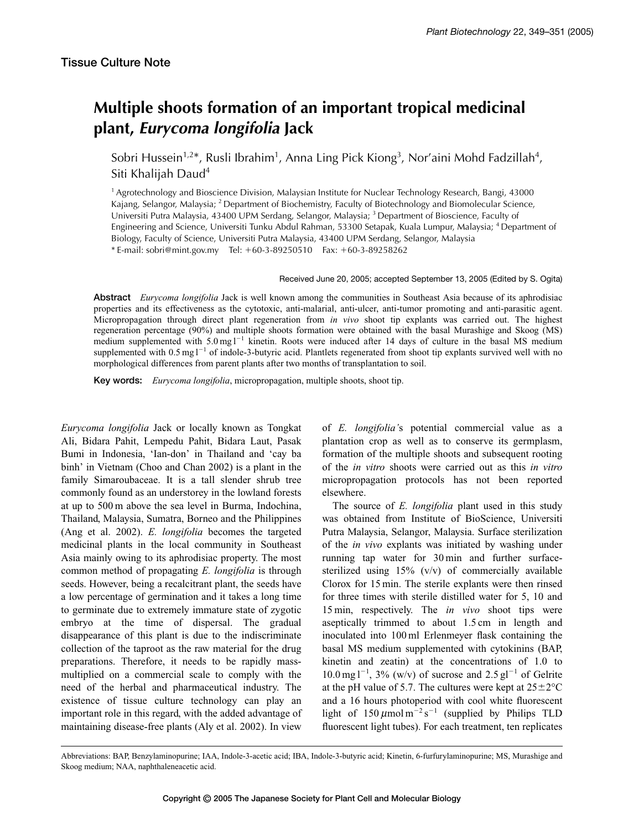## **Multiple shoots formation of an important tropical medicinal plant,** *Eurycoma longifolia* **Jack**

Sobri Hussein<sup>1,2\*</sup>, Rusli Ibrahim<sup>1</sup>, Anna Ling Pick Kiong<sup>3</sup>, Nor'aini Mohd Fadzillah<sup>4</sup>, Siti Khalijah Daud4

<sup>1</sup> Agrotechnology and Bioscience Division, Malaysian Institute for Nuclear Technology Research, Bangi, 43000 Kajang, Selangor, Malaysia; <sup>2</sup> Department of Biochemistry, Faculty of Biotechnology and Biomolecular Science, Universiti Putra Malaysia, 43400 UPM Serdang, Selangor, Malaysia; 3 Department of Bioscience, Faculty of Engineering and Science, Universiti Tunku Abdul Rahman, 53300 Setapak, Kuala Lumpur, Malaysia; 4 Department of Biology, Faculty of Science, Universiti Putra Malaysia, 43400 UPM Serdang, Selangor, Malaysia \* E-mail: sobri@mint.gov.my Tel: 60-3-89250510 Fax: 60-3-89258262

## Received June 20, 2005; accepted September 13, 2005 (Edited by S. Ogita)

**Abstract** *Eurycoma longifolia* Jack is well known among the communities in Southeast Asia because of its aphrodisiac properties and its effectiveness as the cytotoxic, anti-malarial, anti-ulcer, anti-tumor promoting and anti-parasitic agent. Micropropagation through direct plant regeneration from *in vivo* shoot tip explants was carried out. The highest regeneration percentage (90%) and multiple shoots formation were obtained with the basal Murashige and Skoog (MS) medium supplemented with  $5.0 \text{ mg l}^{-1}$  kinetin. Roots were induced after 14 days of culture in the basal MS medium supplemented with 0.5 mg  $l^{-1}$  of indole-3-butyric acid. Plantlets regenerated from shoot tip explants survived well with no morphological differences from parent plants after two months of transplantation to soil.

**Key words:** *Eurycoma longifolia*, micropropagation, multiple shoots, shoot tip.

*Eurycoma longifolia* Jack or locally known as Tongkat Ali, Bidara Pahit, Lempedu Pahit, Bidara Laut, Pasak Bumi in Indonesia, 'Ian-don' in Thailand and 'cay ba binh' in Vietnam (Choo and Chan 2002) is a plant in the family Simaroubaceae. It is a tall slender shrub tree commonly found as an understorey in the lowland forests at up to 500 m above the sea level in Burma, Indochina, Thailand, Malaysia, Sumatra, Borneo and the Philippines (Ang et al. 2002). *E. longifolia* becomes the targeted medicinal plants in the local community in Southeast Asia mainly owing to its aphrodisiac property. The most common method of propagating *E. longifolia* is through seeds. However, being a recalcitrant plant, the seeds have a low percentage of germination and it takes a long time to germinate due to extremely immature state of zygotic embryo at the time of dispersal. The gradual disappearance of this plant is due to the indiscriminate collection of the taproot as the raw material for the drug preparations. Therefore, it needs to be rapidly massmultiplied on a commercial scale to comply with the need of the herbal and pharmaceutical industry. The existence of tissue culture technology can play an important role in this regard, with the added advantage of maintaining disease-free plants (Aly et al. 2002). In view of *E. longifolia'*s potential commercial value as a plantation crop as well as to conserve its germplasm, formation of the multiple shoots and subsequent rooting of the *in vitro* shoots were carried out as this *in vitro* micropropagation protocols has not been reported elsewhere.

The source of *E. longifolia* plant used in this study was obtained from Institute of BioScience, Universiti Putra Malaysia, Selangor, Malaysia. Surface sterilization of the *in vivo* explants was initiated by washing under running tap water for 30 min and further surfacesterilized using 15% (v/v) of commercially available Clorox for 15 min. The sterile explants were then rinsed for three times with sterile distilled water for 5, 10 and 15 min, respectively. The *in vivo* shoot tips were aseptically trimmed to about 1.5 cm in length and inoculated into 100 ml Erlenmeyer flask containing the basal MS medium supplemented with cytokinins (BAP, kinetin and zeatin) at the concentrations of 1.0 to  $10.0$  mg l<sup>-1</sup>, 3% (w/v) of sucrose and 2.5 gl<sup>-1</sup> of Gelrite at the pH value of 5.7. The cultures were kept at  $25\pm2^{\circ}$ C and a 16 hours photoperiod with cool white fluorescent light of  $150 \mu$ mol m<sup>-2</sup> s<sup>-1</sup> (supplied by Philips TLD fluorescent light tubes). For each treatment, ten replicates

Abbreviations: BAP, Benzylaminopurine; IAA, Indole-3-acetic acid; IBA, Indole-3-butyric acid; Kinetin, 6-furfurylaminopurine; MS, Murashige and Skoog medium; NAA, naphthaleneacetic acid.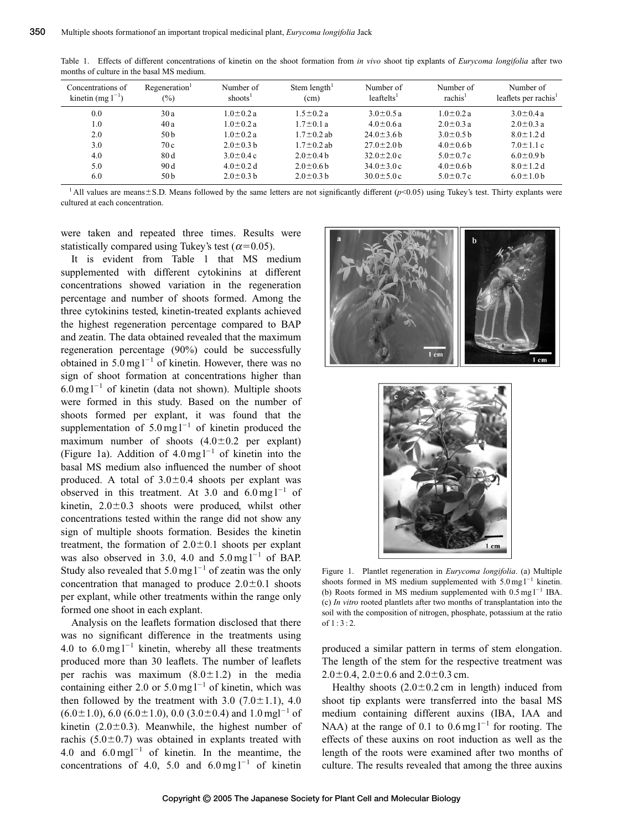| Concentrations of<br>kinetin (mg $1^{-1}$ ) | Regeneration <sup>1</sup><br>$(\%)$ | Number of<br>shoots <sup>1</sup> | Stem length <sup>1</sup><br>(cm) | Number of<br>leaftelts <sup>1</sup> | Number of<br>rachis <sup>1</sup> | Number of<br>leaflets per rachis <sup>1</sup> |
|---------------------------------------------|-------------------------------------|----------------------------------|----------------------------------|-------------------------------------|----------------------------------|-----------------------------------------------|
| 0.0                                         | 30a                                 | $1.0 \pm 0.2 a$                  | $1.5 \pm 0.2 a$                  | $3.0 \pm 0.5 a$                     | $1.0\pm0.2 a$                    | $3.0 \pm 0.4 a$                               |
| 1.0                                         | 40a                                 | $1.0\pm0.2a$                     | $1.7 \pm 0.1 a$                  | $4.0 \pm 0.6 a$                     | $2.0 \pm 0.3 a$                  | $2.0 \pm 0.3 a$                               |
| 2.0                                         | 50 b                                | $1.0 \pm 0.2 a$                  | $1.7 \pm 0.2$ ab                 | $24.0 \pm 3.6 h$                    | $3.0\pm0.5$ b                    | $8.0 \pm 1.2$ d                               |
| 3.0                                         | 70c                                 | $2.0 \pm 0.3$ b                  | $1.7 \pm 0.2$ ab                 | $27.0 \pm 2.0$ b                    | $4.0 \pm 0.6$ b                  | $7.0 \pm 1.1 c$                               |
| 4.0                                         | 80d                                 | $3.0 \pm 0.4$ c                  | $2.0 \pm 0.4 b$                  | $32.0 \pm 2.0 c$                    | $5.0 \pm 0.7$ c                  | $6.0 \pm 0.9 b$                               |
| 5.0                                         | 90 d                                | $4.0 \pm 0.2$ d                  | $2.0 \pm 0.6$ b                  | $34.0 \pm 3.0 c$                    | $4.0 \pm 0.6$ b                  | $8.0 \pm 1.2$ d                               |
| 6.0                                         | 50 b                                | $2.0 \pm 0.3 h$                  | $2.0 \pm 0.3$ b                  | $30.0 \pm 5.0 c$                    | $5.0 \pm 0.7$ c                  | $6.0 \pm 1.0$ b                               |

Table 1. Effects of different concentrations of kinetin on the shoot formation from *in vivo* shoot tip explants of *Eurycoma longifolia* after two months of culture in the basal MS medium.

<sup>1</sup> All values are means $\pm$ S.D. Means followed by the same letters are not significantly different ( $p$ <0.05) using Tukey's test. Thirty explants were cultured at each concentration.

were taken and repeated three times. Results were statistically compared using Tukey's test ( $\alpha$ =0.05).

It is evident from Table 1 that MS medium supplemented with different cytokinins at different concentrations showed variation in the regeneration percentage and number of shoots formed. Among the three cytokinins tested, kinetin-treated explants achieved the highest regeneration percentage compared to BAP and zeatin. The data obtained revealed that the maximum regeneration percentage (90%) could be successfully obtained in  $5.0 \text{ mg}$ <sup>1-1</sup> of kinetin. However, there was no sign of shoot formation at concentrations higher than  $6.0 \text{ mg}$ <sup>1-1</sup> of kinetin (data not shown). Multiple shoots were formed in this study. Based on the number of shoots formed per explant, it was found that the supplementation of  $5.0 \text{ mg}$ <sup>1-1</sup> of kinetin produced the maximum number of shoots  $(4.0 \pm 0.2)$  per explant) (Figure 1a). Addition of  $4.0 \text{ mg l}^{-1}$  of kinetin into the basal MS medium also influenced the number of shoot produced. A total of  $3.0 \pm 0.4$  shoots per explant was observed in this treatment. At 3.0 and  $6.0 \text{ mg}$  $1^{-1}$  of kinetin,  $2.0 \pm 0.3$  shoots were produced, whilst other concentrations tested within the range did not show any sign of multiple shoots formation. Besides the kinetin treatment, the formation of  $2.0 \pm 0.1$  shoots per explant was also observed in 3.0, 4.0 and  $5.0 \text{ mg}$ <sup>1-1</sup> of BAP. Study also revealed that  $5.0 \text{ mg} \, \text{l}^{-1}$  of zeatin was the only concentration that managed to produce  $2.0 \pm 0.1$  shoots per explant, while other treatments within the range only formed one shoot in each explant.

Analysis on the leaflets formation disclosed that there was no significant difference in the treatments using 4.0 to  $6.0 \text{ mg l}^{-1}$  kinetin, whereby all these treatments produced more than 30 leaflets. The number of leaflets per rachis was maximum  $(8.0 \pm 1.2)$  in the media containing either 2.0 or  $5.0 \text{ mg} \, \text{l}^{-1}$  of kinetin, which was then followed by the treatment with  $3.0$  (7.0 $\pm$ 1.1), 4.0  $(6.0 \pm 1.0)$ , 6.0  $(6.0 \pm 1.0)$ , 0.0  $(3.0 \pm 0.4)$  and 1.0 mgl<sup>-1</sup> of kinetin  $(2.0 \pm 0.3)$ . Meanwhile, the highest number of rachis  $(5.0 \pm 0.7)$  was obtained in explants treated with 4.0 and  $6.0 \text{ mg}$ <sup>-1</sup> of kinetin. In the meantime, the concentrations of 4.0, 5.0 and  $6.0 \text{ mg l}^{-1}$  of kinetin





Figure 1. Plantlet regeneration in *Eurycoma longifolia*. (a) Multiple shoots formed in MS medium supplemented with  $5.0 \text{ mg l}^{-1}$  kinetin. (b) Roots formed in MS medium supplemented with  $0.5 \text{ mg} \, \text{l}^{-1}$  IBA. (c) *In vitro* rooted plantlets after two months of transplantation into the soil with the composition of nitrogen, phosphate, potassium at the ratio of  $1 \cdot 3 \cdot 2$ .

produced a similar pattern in terms of stem elongation. The length of the stem for the respective treatment was  $2.0\pm0.4$ ,  $2.0\pm0.6$  and  $2.0\pm0.3$  cm.

Healthy shoots  $(2.0 \pm 0.2 \text{ cm}$  in length) induced from shoot tip explants were transferred into the basal MS medium containing different auxins (IBA, IAA and NAA) at the range of 0.1 to  $0.6 \text{ mg} 1^{-1}$  for rooting. The effects of these auxins on root induction as well as the length of the roots were examined after two months of culture. The results revealed that among the three auxins